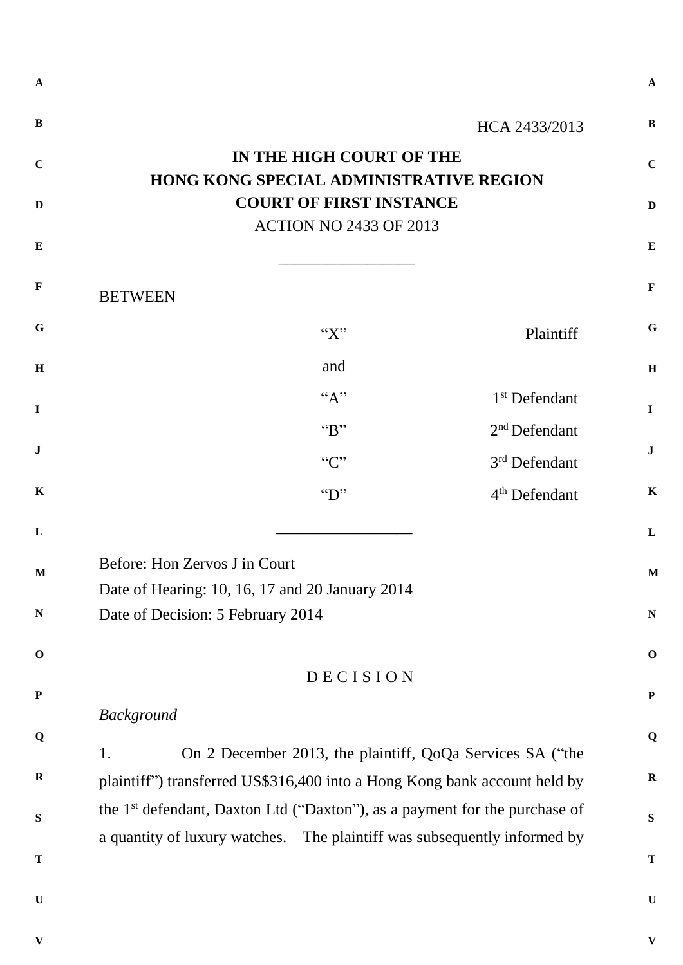|                                                                            | HCA 2433/2013                                                                                                                                                                                                                                                                                                                                                                                                                         |
|----------------------------------------------------------------------------|---------------------------------------------------------------------------------------------------------------------------------------------------------------------------------------------------------------------------------------------------------------------------------------------------------------------------------------------------------------------------------------------------------------------------------------|
| IN THE HIGH COURT OF THE<br><b>HONG KONG SPECIAL ADMINISTRATIVE REGION</b> |                                                                                                                                                                                                                                                                                                                                                                                                                                       |
| <b>COURT OF FIRST INSTANCE</b>                                             |                                                                                                                                                                                                                                                                                                                                                                                                                                       |
| <b>ACTION NO 2433 OF 2013</b>                                              |                                                                                                                                                                                                                                                                                                                                                                                                                                       |
|                                                                            |                                                                                                                                                                                                                                                                                                                                                                                                                                       |
|                                                                            |                                                                                                                                                                                                                                                                                                                                                                                                                                       |
| ``X"                                                                       | Plaintiff                                                                                                                                                                                                                                                                                                                                                                                                                             |
| and                                                                        |                                                                                                                                                                                                                                                                                                                                                                                                                                       |
| $A$ <sup>"</sup>                                                           | 1 <sup>st</sup> Defendant                                                                                                                                                                                                                                                                                                                                                                                                             |
| B                                                                          | 2 <sup>nd</sup> Defendant                                                                                                                                                                                                                                                                                                                                                                                                             |
| C                                                                          | 3 <sup>rd</sup> Defendant                                                                                                                                                                                                                                                                                                                                                                                                             |
| $\mathbf{``D''}$                                                           | 4 <sup>th</sup> Defendant                                                                                                                                                                                                                                                                                                                                                                                                             |
|                                                                            |                                                                                                                                                                                                                                                                                                                                                                                                                                       |
|                                                                            |                                                                                                                                                                                                                                                                                                                                                                                                                                       |
|                                                                            |                                                                                                                                                                                                                                                                                                                                                                                                                                       |
|                                                                            |                                                                                                                                                                                                                                                                                                                                                                                                                                       |
|                                                                            |                                                                                                                                                                                                                                                                                                                                                                                                                                       |
| DECISION                                                                   |                                                                                                                                                                                                                                                                                                                                                                                                                                       |
|                                                                            |                                                                                                                                                                                                                                                                                                                                                                                                                                       |
|                                                                            |                                                                                                                                                                                                                                                                                                                                                                                                                                       |
|                                                                            |                                                                                                                                                                                                                                                                                                                                                                                                                                       |
|                                                                            |                                                                                                                                                                                                                                                                                                                                                                                                                                       |
|                                                                            |                                                                                                                                                                                                                                                                                                                                                                                                                                       |
|                                                                            |                                                                                                                                                                                                                                                                                                                                                                                                                                       |
|                                                                            |                                                                                                                                                                                                                                                                                                                                                                                                                                       |
|                                                                            |                                                                                                                                                                                                                                                                                                                                                                                                                                       |
|                                                                            | Before: Hon Zervos J in Court<br>Date of Hearing: 10, 16, 17 and 20 January 2014<br>Date of Decision: 5 February 2014<br>On 2 December 2013, the plaintiff, QoQa Services SA ("the<br>plaintiff") transferred US\$316,400 into a Hong Kong bank account held by<br>the 1 <sup>st</sup> defendant, Daxton Ltd ("Daxton"), as a payment for the purchase of<br>a quantity of luxury watches. The plaintiff was subsequently informed by |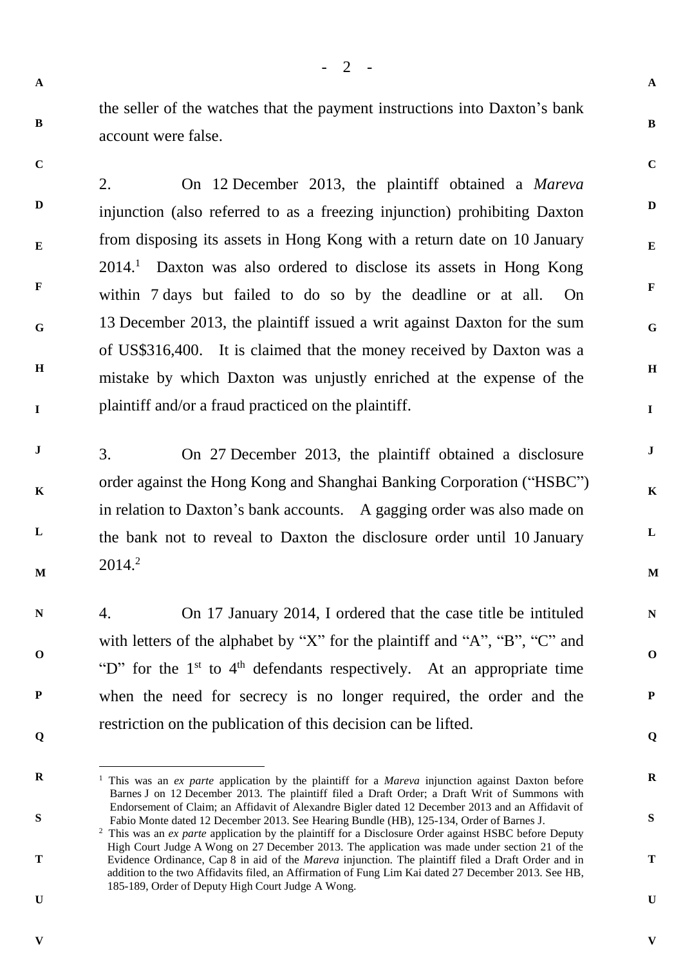$- 2 -$ 

**A**

**B**

**C**

**D**

**E**

**F**

**G**

**H**

**I**

**J**

**K**

**L**

**M**

**N**

**O**

**P**

**Q**

**R**

**S**

**T**

**U**

the seller of the watches that the payment instructions into Daxton's bank account were false.

**C**

**F**

**I**

**B**

**D E G H** 2. On 12 December 2013, the plaintiff obtained a *Mareva* injunction (also referred to as a freezing injunction) prohibiting Daxton from disposing its assets in Hong Kong with a return date on 10 January  $2014<sup>1</sup>$  Daxton was also ordered to disclose its assets in Hong Kong within 7 days but failed to do so by the deadline or at all. On 13 December 2013, the plaintiff issued a writ against Daxton for the sum of US\$316,400. It is claimed that the money received by Daxton was a mistake by which Daxton was unjustly enriched at the expense of the plaintiff and/or a fraud practiced on the plaintiff.

**J K L M** 3. On 27 December 2013, the plaintiff obtained a disclosure order against the Hong Kong and Shanghai Banking Corporation ("HSBC") in relation to Daxton's bank accounts. A gagging order was also made on the bank not to reveal to Daxton the disclosure order until 10 January  $2014.<sup>2</sup>$ 

- **N O P Q** 4. On 17 January 2014, I ordered that the case title be intituled with letters of the alphabet by "X" for the plaintiff and "A", "B", "C" and "D" for the  $1<sup>st</sup>$  to  $4<sup>th</sup>$  defendants respectively. At an appropriate time when the need for secrecy is no longer required, the order and the restriction on the publication of this decision can be lifted.
- **R**

l

**S**

**T**

**U**

<sup>1</sup> This was an *ex parte* application by the plaintiff for a *Mareva* injunction against Daxton before Barnes J on 12 December 2013. The plaintiff filed a Draft Order; a Draft Writ of Summons with Endorsement of Claim; an Affidavit of Alexandre Bigler dated 12 December 2013 and an Affidavit of Fabio Monte dated 12 December 2013. See Hearing Bundle (HB), 125-134, Order of Barnes J.

**V**

<sup>&</sup>lt;sup>2</sup> This was an *ex parte* application by the plaintiff for a Disclosure Order against HSBC before Deputy High Court Judge A Wong on 27 December 2013. The application was made under section 21 of the Evidence Ordinance, Cap 8 in aid of the *Mareva* injunction. The plaintiff filed a Draft Order and in addition to the two Affidavits filed, an Affirmation of Fung Lim Kai dated 27 December 2013. See HB, 185-189, Order of Deputy High Court Judge A Wong.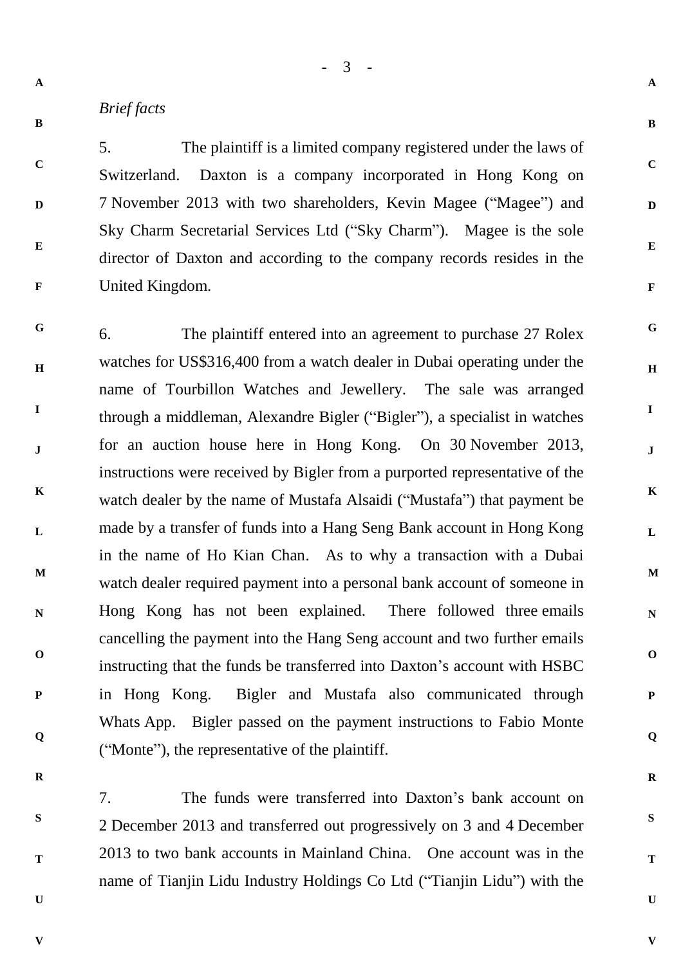**B**

**C**

**D**

**E**

**F**

## *Brief facts*

5. The plaintiff is a limited company registered under the laws of Switzerland. Daxton is a company incorporated in Hong Kong on 7 November 2013 with two shareholders, Kevin Magee ("Magee") and Sky Charm Secretarial Services Ltd ("Sky Charm"). Magee is the sole director of Daxton and according to the company records resides in the United Kingdom.

- 3 -

**A**

**B**

**C**

**D**

**E**

**F**

**G**

**H**

**I**

**J**

**K**

**L**

**M**

**N**

**O**

**P**

**Q**

**R**

**S**

**T**

**U**

**V**

**G H I J K L M N O P Q** 6. The plaintiff entered into an agreement to purchase 27 Rolex watches for US\$316,400 from a watch dealer in Dubai operating under the name of Tourbillon Watches and Jewellery. The sale was arranged through a middleman, Alexandre Bigler ("Bigler"), a specialist in watches for an auction house here in Hong Kong. On 30 November 2013, instructions were received by Bigler from a purported representative of the watch dealer by the name of Mustafa Alsaidi ("Mustafa") that payment be made by a transfer of funds into a Hang Seng Bank account in Hong Kong in the name of Ho Kian Chan. As to why a transaction with a Dubai watch dealer required payment into a personal bank account of someone in Hong Kong has not been explained. There followed three emails cancelling the payment into the Hang Seng account and two further emails instructing that the funds be transferred into Daxton's account with HSBC in Hong Kong. Bigler and Mustafa also communicated through Whats App. Bigler passed on the payment instructions to Fabio Monte ("Monte"), the representative of the plaintiff.

**R**

**S**

**T**

**U**

7. The funds were transferred into Daxton's bank account on 2 December 2013 and transferred out progressively on 3 and 4 December 2013 to two bank accounts in Mainland China. One account was in the name of Tianjin Lidu Industry Holdings Co Ltd ("Tianjin Lidu") with the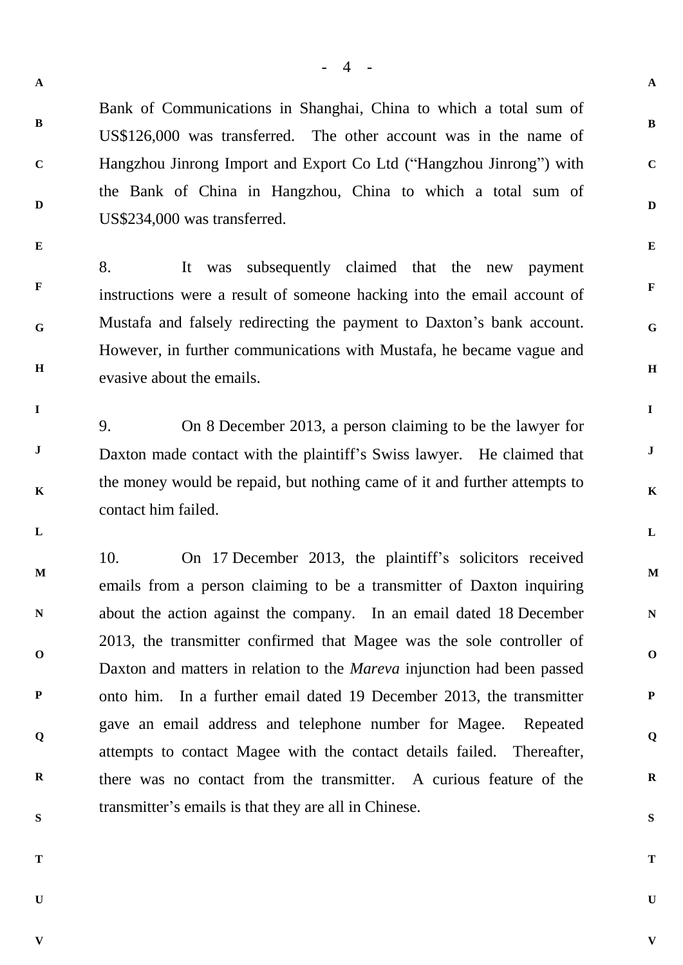Bank of Communications in Shanghai, China to which a total sum of US\$126,000 was transferred. The other account was in the name of Hangzhou Jinrong Import and Export Co Ltd ("Hangzhou Jinrong") with the Bank of China in Hangzhou, China to which a total sum of US\$234,000 was transferred.

**E**

**A**

**B**

**C**

**D**

**F G H** 8. It was subsequently claimed that the new payment instructions were a result of someone hacking into the email account of Mustafa and falsely redirecting the payment to Daxton's bank account. However, in further communications with Mustafa, he became vague and evasive about the emails.

9. On 8 December 2013, a person claiming to be the lawyer for Daxton made contact with the plaintiff's Swiss lawyer. He claimed that the money would be repaid, but nothing came of it and further attempts to contact him failed.

**L**

**I**

**J**

**K**

**M N O P Q R S** 10. On 17 December 2013, the plaintiff's solicitors received emails from a person claiming to be a transmitter of Daxton inquiring about the action against the company. In an email dated 18 December 2013, the transmitter confirmed that Magee was the sole controller of Daxton and matters in relation to the *Mareva* injunction had been passed onto him. In a further email dated 19 December 2013, the transmitter gave an email address and telephone number for Magee. Repeated attempts to contact Magee with the contact details failed. Thereafter, there was no contact from the transmitter. A curious feature of the transmitter's emails is that they are all in Chinese.

**T**

**U**

**U**

**V**

**A**

**B**

**C**

**D**

**E**

**F**

**G**

**H**

**I**

**J**

**K**

**L**

**M**

**N**

**O**

**P**

**Q**

**R**

**S**

**T**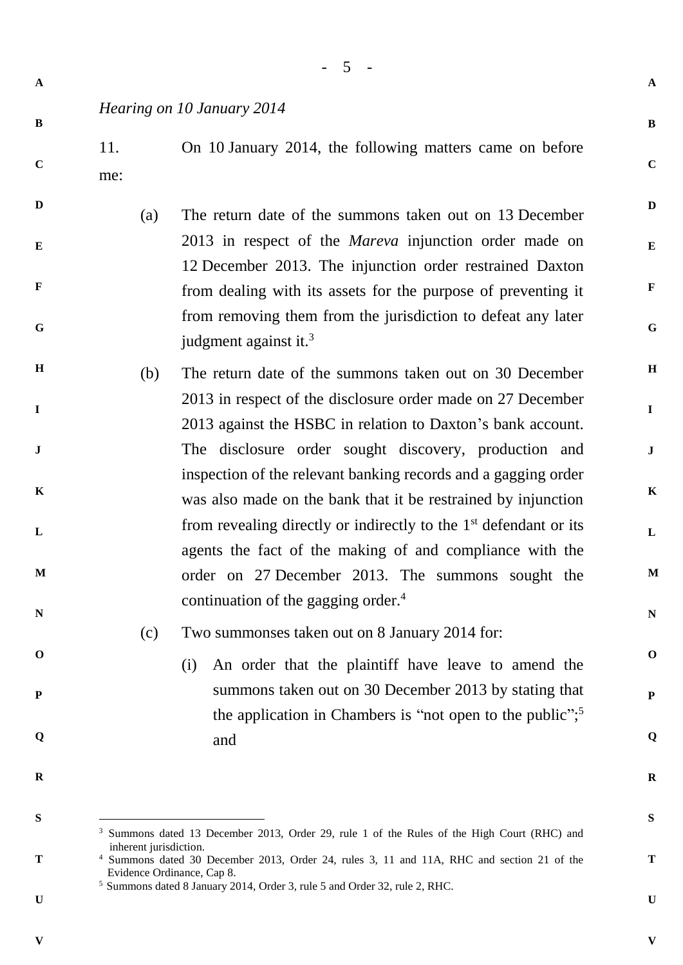| (a)<br>judgment against it. <sup>3</sup><br>(b)<br>was also made on the bank that it be restrained by injunction<br>agents the fact of the making of and compliance with the<br>continuation of the gagging order. $4$<br>Two summonses taken out on 8 January 2014 for:<br>(c) | 11.<br>me: | On 10 January 2014, the following matters came on before                                                                                                                                                                                                                                                              |
|---------------------------------------------------------------------------------------------------------------------------------------------------------------------------------------------------------------------------------------------------------------------------------|------------|-----------------------------------------------------------------------------------------------------------------------------------------------------------------------------------------------------------------------------------------------------------------------------------------------------------------------|
|                                                                                                                                                                                                                                                                                 |            | The return date of the summons taken out on 13 December<br>2013 in respect of the <i>Mareva</i> injunction order made on<br>12 December 2013. The injunction order restrained Daxton<br>from dealing with its assets for the purpose of preventing it<br>from removing them from the jurisdiction to defeat any later |
|                                                                                                                                                                                                                                                                                 |            | The return date of the summons taken out on 30 December                                                                                                                                                                                                                                                               |
|                                                                                                                                                                                                                                                                                 |            | 2013 in respect of the disclosure order made on 27 December<br>2013 against the HSBC in relation to Daxton's bank account.                                                                                                                                                                                            |
|                                                                                                                                                                                                                                                                                 |            | The disclosure order sought discovery, production and<br>inspection of the relevant banking records and a gagging order                                                                                                                                                                                               |
|                                                                                                                                                                                                                                                                                 |            | from revealing directly or indirectly to the $1st$ defendant or its                                                                                                                                                                                                                                                   |
|                                                                                                                                                                                                                                                                                 |            | order on 27 December 2013. The summons sought the                                                                                                                                                                                                                                                                     |
|                                                                                                                                                                                                                                                                                 |            |                                                                                                                                                                                                                                                                                                                       |
| (i)<br>and                                                                                                                                                                                                                                                                      |            | An order that the plaintiff have leave to amend the<br>summons taken out on 30 December 2013 by stating that<br>the application in Chambers is "not open to the public"; <sup>5</sup>                                                                                                                                 |

**U**

**V**

**U**

**A**

**B**

**C**

**D**

**E**

**F**

**G**

**H**

**I**

**J**

**K**

**L**

**M**

**N**

**O**

**P**

**Q**

**R**

**S**

**T**

<sup>5</sup> Summons dated 8 January 2014, Order 3, rule 5 and Order 32, rule 2, RHC.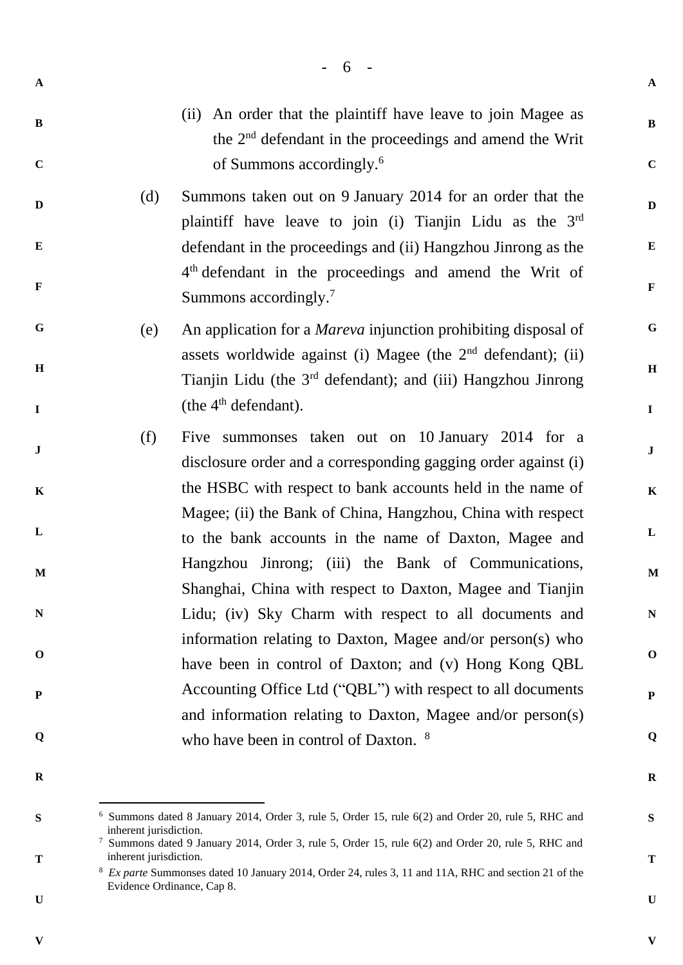|                         |     | - 6 -                                                                                                                                                                          |
|-------------------------|-----|--------------------------------------------------------------------------------------------------------------------------------------------------------------------------------|
| $\mathbf A$             |     |                                                                                                                                                                                |
| $\bf{B}$<br>$\mathbf C$ |     | An order that the plaintiff have leave to join Magee as<br>(ii)<br>the 2 <sup>nd</sup> defendant in the proceedings and amend the Writ<br>of Summons accordingly. <sup>6</sup> |
| $\mathbf{D}$            | (d) | Summons taken out on 9 January 2014 for an order that the<br>plaintiff have leave to join (i) Tianjin Lidu as the $3rd$                                                        |
| E                       |     | defendant in the proceedings and (ii) Hangzhou Jinrong as the                                                                                                                  |
| $\mathbf F$             |     | 4 <sup>th</sup> defendant in the proceedings and amend the Writ of<br>Summons accordingly. <sup>7</sup>                                                                        |
| $\mathbf G$             | (e) | An application for a <i>Mareva</i> injunction prohibiting disposal of                                                                                                          |
| H                       |     | assets worldwide against (i) Magee (the $2nd$ defendant); (ii)<br>Tianjin Lidu (the 3 <sup>rd</sup> defendant); and (iii) Hangzhou Jinrong                                     |
| $\mathbf I$             |     | (the $4th$ defendant).                                                                                                                                                         |
| ${\bf J}$               | (f) | Five summonses taken out on 10 January 2014 for a<br>disclosure order and a corresponding gagging order against (i)                                                            |
| $\mathbf K$             |     | the HSBC with respect to bank accounts held in the name of<br>Magee; (ii) the Bank of China, Hangzhou, China with respect                                                      |
| L                       |     | to the bank accounts in the name of Daxton, Magee and                                                                                                                          |
| M                       |     | Hangzhou Jinrong; (iii) the Bank of Communications,<br>Shanghai, China with respect to Daxton, Magee and Tianjin                                                               |
| ${\bf N}$               |     | Lidu; (iv) Sky Charm with respect to all documents and                                                                                                                         |
| $\mathbf 0$             |     | information relating to Daxton, Magee and/or person(s) who<br>have been in control of Daxton; and (v) Hong Kong QBL                                                            |
| P                       |     | Accounting Office Ltd ("QBL") with respect to all documents                                                                                                                    |
| Q                       |     | and information relating to Daxton, Magee and/or person(s)                                                                                                                     |
|                         |     | who have been in control of Daxton. <sup>8</sup>                                                                                                                               |
|                         |     |                                                                                                                                                                                |

**B**

**C**

**D**

**E**

**F**

**G**

**H**

**I**

**J**

**K**

**L**

**M**

**N**

**O**

**P**

**Q**

**R**

**S**

**T**

**U**

**V**

**R**

 $\overline{a}$ 

**S**

**T**

**V**

<sup>6</sup> Summons dated 8 January 2014, Order 3, rule 5, Order 15, rule 6(2) and Order 20, rule 5, RHC and inherent jurisdiction.

<sup>&</sup>lt;sup>7</sup> Summons dated 9 January 2014, Order 3, rule 5, Order 15, rule 6(2) and Order 20, rule 5, RHC and inherent jurisdiction.

<sup>8</sup> *Ex parte* Summonses dated 10 January 2014, Order 24, rules 3, 11 and 11A, RHC and section 21 of the Evidence Ordinance, Cap 8.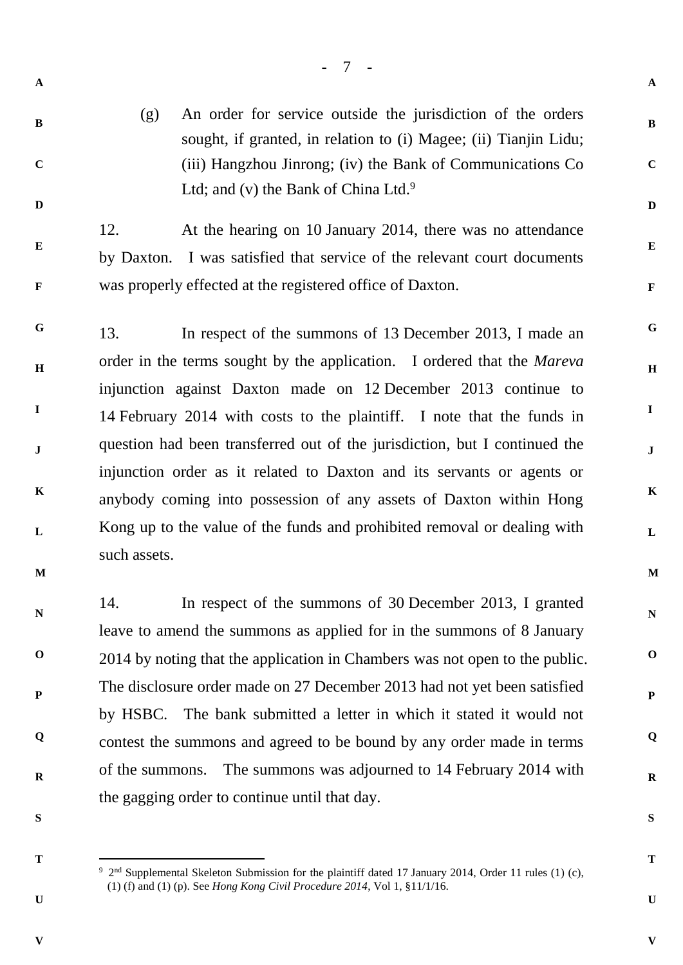- **B**
- **C**

**D**

**E**

**F**

(g) An order for service outside the jurisdiction of the orders sought, if granted, in relation to (i) Magee; (ii) Tianjin Lidu; (iii) Hangzhou Jinrong; (iv) the Bank of Communications Co Ltd; and (v) the Bank of China Ltd.<sup>9</sup>

- 7 -

12. At the hearing on 10 January 2014, there was no attendance by Daxton. I was satisfied that service of the relevant court documents was properly effected at the registered office of Daxton.

**G H I J K L M** 13. In respect of the summons of 13 December 2013, I made an order in the terms sought by the application. I ordered that the *Mareva* injunction against Daxton made on 12 December 2013 continue to 14 February 2014 with costs to the plaintiff. I note that the funds in question had been transferred out of the jurisdiction, but I continued the injunction order as it related to Daxton and its servants or agents or anybody coming into possession of any assets of Daxton within Hong Kong up to the value of the funds and prohibited removal or dealing with such assets.

**N O P Q R** 14. In respect of the summons of 30 December 2013, I granted leave to amend the summons as applied for in the summons of 8 January 2014 by noting that the application in Chambers was not open to the public. The disclosure order made on 27 December 2013 had not yet been satisfied by HSBC. The bank submitted a letter in which it stated it would not contest the summons and agreed to be bound by any order made in terms of the summons. The summons was adjourned to 14 February 2014 with the gagging order to continue until that day.

**S**

**T**

l

**U**

**R**

**A**

**B**

**C**

**D**

**E**

**F**

**G**

**H**

**I**

**J**

**K**

**L**

**M**

**N**

**O**

**P**

**Q**

**T**

**U**

**V**

**S**

<sup>&</sup>lt;sup>9</sup> 2<sup>nd</sup> Supplemental Skeleton Submission for the plaintiff dated 17 January 2014, Order 11 rules (1) (c), (1) (f) and (1) (p). See *Hong Kong Civil Procedure 2014*, Vol 1, §11/1/16.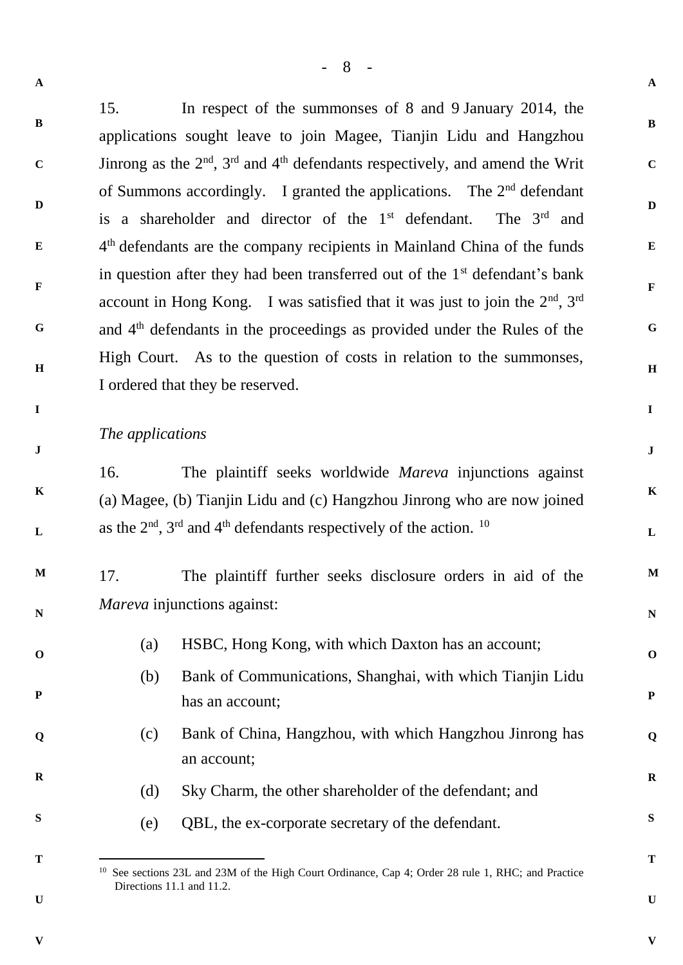**A B C D E F G H I J K L M N O P Q R S T A B C D E F G H I J K L M N O P Q R S T** 15. In respect of the summonses of 8 and 9 January 2014, the applications sought leave to join Magee, Tianjin Lidu and Hangzhou Jinrong as the  $2<sup>nd</sup>$ ,  $3<sup>rd</sup>$  and  $4<sup>th</sup>$  defendants respectively, and amend the Writ of Summons accordingly. I granted the applications. The 2<sup>nd</sup> defendant is a shareholder and director of the  $1<sup>st</sup>$  defendant. The  $3<sup>rd</sup>$  and 4<sup>th</sup> defendants are the company recipients in Mainland China of the funds in question after they had been transferred out of the  $1<sup>st</sup>$  defendant's bank account in Hong Kong. I was satisfied that it was just to join the  $2<sup>nd</sup>$ ,  $3<sup>rd</sup>$ and 4th defendants in the proceedings as provided under the Rules of the High Court. As to the question of costs in relation to the summonses, I ordered that they be reserved. *The applications* 16. The plaintiff seeks worldwide *Mareva* injunctions against (a) Magee, (b) Tianjin Lidu and (c) Hangzhou Jinrong who are now joined as the  $2<sup>nd</sup>$ ,  $3<sup>rd</sup>$  and  $4<sup>th</sup>$  defendants respectively of the action. <sup>10</sup> 17. The plaintiff further seeks disclosure orders in aid of the *Mareva* injunctions against: (a) HSBC, Hong Kong, with which Daxton has an account; (b) Bank of Communications, Shanghai, with which Tianjin Lidu has an account; (c) Bank of China, Hangzhou, with which Hangzhou Jinrong has an account; (d) Sky Charm, the other shareholder of the defendant; and (e) QBL, the ex-corporate secretary of the defendant. l <sup>10</sup> See sections 23L and 23M of the High Court Ordinance, Cap 4; Order 28 rule 1, RHC; and Practice Directions 11.1 and 11.2.

- 8 -

- **U**
- **V**

**V**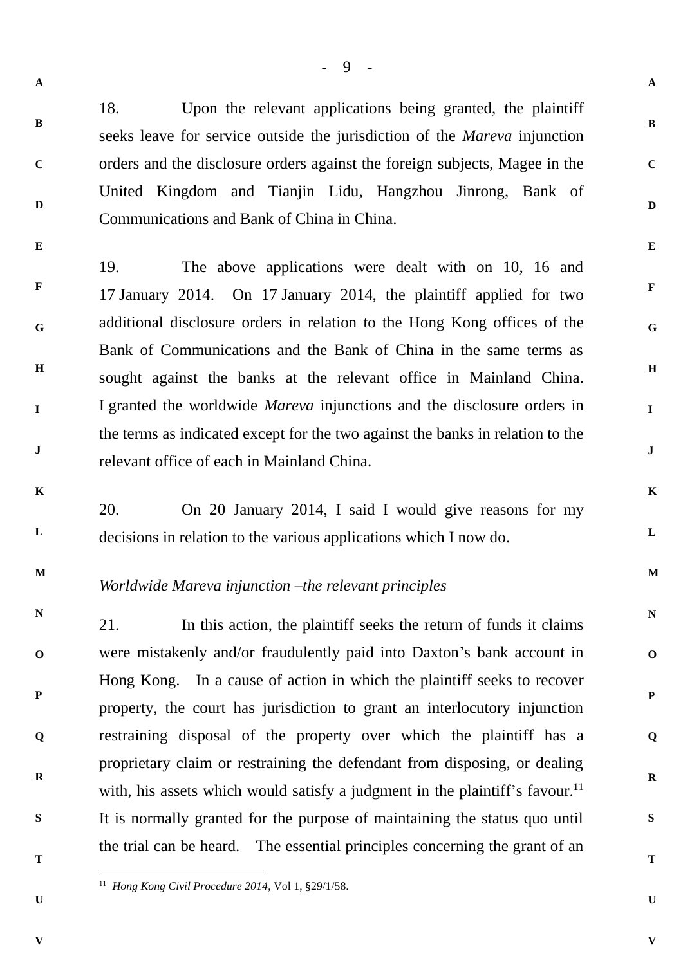**B**

**C**

**D**

**E**

18. Upon the relevant applications being granted, the plaintiff seeks leave for service outside the jurisdiction of the *Mareva* injunction orders and the disclosure orders against the foreign subjects, Magee in the United Kingdom and Tianjin Lidu, Hangzhou Jinrong, Bank of Communications and Bank of China in China.

**F G H I J** 19. The above applications were dealt with on 10, 16 and 17 January 2014. On 17 January 2014, the plaintiff applied for two additional disclosure orders in relation to the Hong Kong offices of the Bank of Communications and the Bank of China in the same terms as sought against the banks at the relevant office in Mainland China. I granted the worldwide *Mareva* injunctions and the disclosure orders in the terms as indicated except for the two against the banks in relation to the relevant office of each in Mainland China.

**K**

**L**

20. On 20 January 2014, I said I would give reasons for my decisions in relation to the various applications which I now do.

**M**

## *Worldwide Mareva injunction –the relevant principles*

**N O P Q R S** 21. In this action, the plaintiff seeks the return of funds it claims were mistakenly and/or fraudulently paid into Daxton's bank account in Hong Kong. In a cause of action in which the plaintiff seeks to recover property, the court has jurisdiction to grant an interlocutory injunction restraining disposal of the property over which the plaintiff has a proprietary claim or restraining the defendant from disposing, or dealing with, his assets which would satisfy a judgment in the plaintiff's favour.<sup>11</sup> It is normally granted for the purpose of maintaining the status quo until the trial can be heard. The essential principles concerning the grant of an

**T**

 $\overline{a}$ 

**U**

**U**

**V**

**A**

**B**

**C**

**D**

**E**

**F**

**G**

**H**

**I**

**J**

**K**

**L**

**M**

**N**

**O**

**P**

**Q**

**R**

**S**

**T**

<sup>11</sup> *Hong Kong Civil Procedure 2014*, Vol 1, §29/1/58.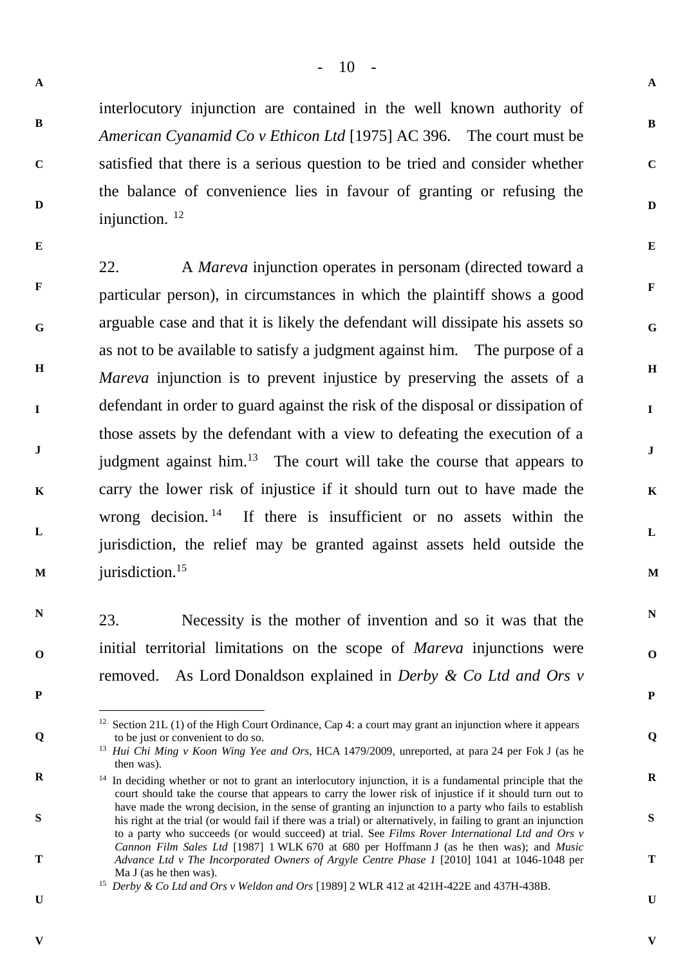**B**

**C**

**D**

interlocutory injunction are contained in the well known authority of *American Cyanamid Co v Ethicon Ltd* [1975] AC 396. The court must be satisfied that there is a serious question to be tried and consider whether the balance of convenience lies in favour of granting or refusing the injunction. <sup>12</sup>

**E**

**F G H I J K L M** 22. A *Mareva* injunction operates in personam (directed toward a particular person), in circumstances in which the plaintiff shows a good arguable case and that it is likely the defendant will dissipate his assets so as not to be available to satisfy a judgment against him. The purpose of a *Mareva* injunction is to prevent injustice by preserving the assets of a defendant in order to guard against the risk of the disposal or dissipation of those assets by the defendant with a view to defeating the execution of a judgment against him. $13$  The court will take the course that appears to carry the lower risk of injustice if it should turn out to have made the wrong decision. 14 If there is insufficient or no assets within the jurisdiction, the relief may be granted against assets held outside the jurisdiction.<sup>15</sup>

23. Necessity is the mother of invention and so it was that the initial territorial limitations on the scope of *Mareva* injunctions were removed. As Lord Donaldson explained in *Derby & Co Ltd and Ors v* 

**P**

 $\overline{a}$ 

**Q**

**R**

**S**

**T**

**N**

**O**

<sup>12</sup> Section 21L (1) of the High Court Ordinance, Cap 4: a court may grant an injunction where it appears to be just or convenient to do so.

**U**

**V**

**V**

**A**

**B**

**C**

**D**

**E**

**F**

**G**

**H**

**I**

**J**

**K**

**L**

**M**

**N**

**O**

**P**

**Q**

**R**

**S**

**T**

<sup>13</sup> *Hui Chi Ming v Koon Wing Yee and Ors*, HCA 1479/2009, unreported, at para 24 per Fok J (as he then was).

<sup>&</sup>lt;sup>14</sup> In deciding whether or not to grant an interlocutory injunction, it is a fundamental principle that the court should take the course that appears to carry the lower risk of injustice if it should turn out to have made the wrong decision, in the sense of granting an injunction to a party who fails to establish his right at the trial (or would fail if there was a trial) or alternatively, in failing to grant an injunction to a party who succeeds (or would succeed) at trial. See *Films Rover International Ltd and Ors v Cannon Film Sales Ltd* [1987] 1 WLK 670 at 680 per Hoffmann J (as he then was); and *Music Advance Ltd v The Incorporated Owners of Argyle Centre Phase 1* [2010] 1041 at 1046-1048 per Ma J (as he then was).

<sup>15</sup> *Derby & Co Ltd and Ors v Weldon and Ors* [1989] 2 WLR 412 at 421H-422E and 437H-438B.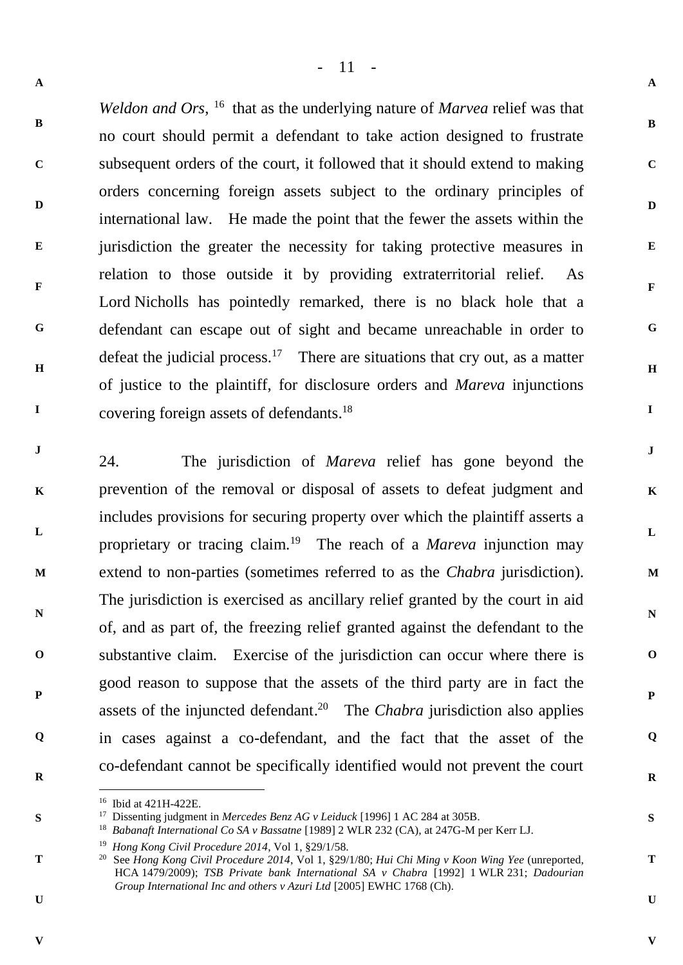- 11 -

**A**

**B**

**C**

**D**

**E**

**F**

**G**

**H**

**I**

**J**

**K**

**L**

**M**

**N**

**O**

**P**

**Q**

**R**

**S**

**T**

**U**

**V**

**B C D E F G H I** Weldon and Ors, <sup>16</sup> that as the underlying nature of *Marvea* relief was that no court should permit a defendant to take action designed to frustrate subsequent orders of the court, it followed that it should extend to making orders concerning foreign assets subject to the ordinary principles of international law. He made the point that the fewer the assets within the jurisdiction the greater the necessity for taking protective measures in relation to those outside it by providing extraterritorial relief. As Lord Nicholls has pointedly remarked, there is no black hole that a defendant can escape out of sight and became unreachable in order to defeat the judicial process.<sup>17</sup> There are situations that cry out, as a matter of justice to the plaintiff, for disclosure orders and *Mareva* injunctions covering foreign assets of defendants. 18

**J K L M N O P Q R** 24. The jurisdiction of *Mareva* relief has gone beyond the prevention of the removal or disposal of assets to defeat judgment and includes provisions for securing property over which the plaintiff asserts a proprietary or tracing claim.<sup>19</sup> The reach of a *Mareva* injunction may extend to non-parties (sometimes referred to as the *Chabra* jurisdiction). The jurisdiction is exercised as ancillary relief granted by the court in aid of, and as part of, the freezing relief granted against the defendant to the substantive claim. Exercise of the jurisdiction can occur where there is good reason to suppose that the assets of the third party are in fact the assets of the injuncted defendant. 20 The *Chabra* jurisdiction also applies in cases against a co-defendant, and the fact that the asset of the co-defendant cannot be specifically identified would not prevent the court

**V**

**S**

**T**

**U**

**A**

 $\overline{a}$ <sup>16</sup> Ibid at 421H-422E.

<sup>17</sup> Dissenting judgment in *Mercedes Benz AG v Leiduck* [1996] 1 AC 284 at 305B.

<sup>18</sup> *Babanaft International Co SA v Bassatne* [1989] 2 WLR 232 (CA), at 247G-M per Kerr LJ.

<sup>19</sup> *Hong Kong Civil Procedure 2014*, Vol 1, §29/1/58.

<sup>20</sup> See *Hong Kong Civil Procedure 2014*, Vol 1, §29/1/80; *Hui Chi Ming v Koon Wing Yee* (unreported, HCA 1479/2009); *TSB Private bank International SA v Chabra* [1992] 1 WLR 231; *Dadourian Group International Inc and others v Azuri Ltd* [2005] EWHC 1768 (Ch).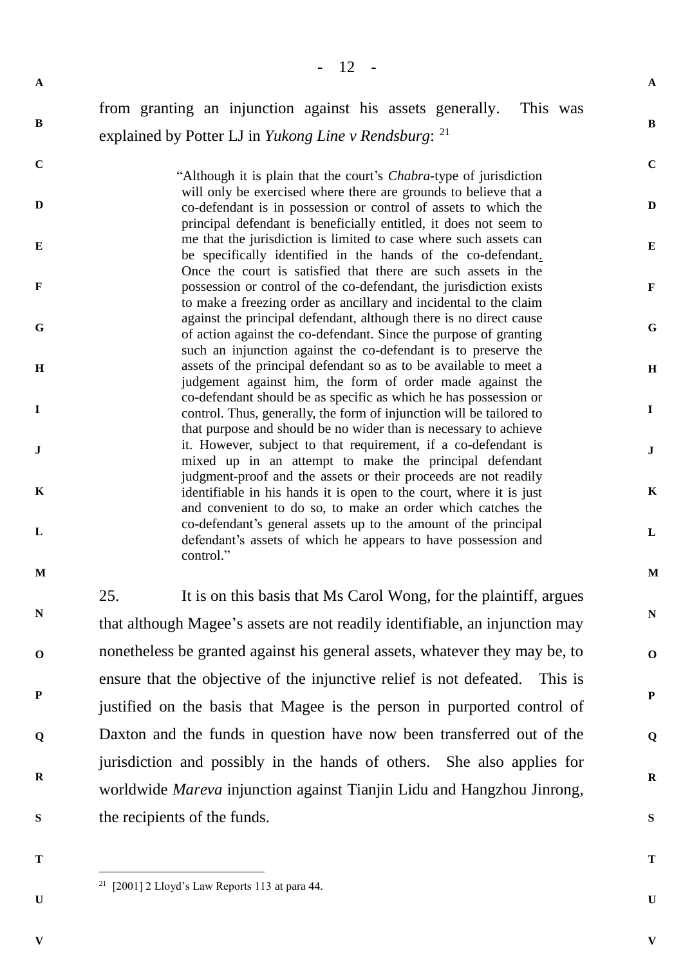**B**

## from granting an injunction against his assets generally. This was explained by Potter LJ in *Yukong Line v Rendsburg*: 21

**C D E F G H I J K L** "Although it is plain that the court's *Chabra*-type of jurisdiction will only be exercised where there are grounds to believe that a co-defendant is in possession or control of assets to which the principal defendant is beneficially entitled, it does not seem to me that the jurisdiction is limited to case where such assets can be specifically identified in the hands of the co-defendant. Once the court is satisfied that there are such assets in the possession or control of the co-defendant, the jurisdiction exists to make a freezing order as ancillary and incidental to the claim against the principal defendant, although there is no direct cause of action against the co-defendant. Since the purpose of granting such an injunction against the co-defendant is to preserve the assets of the principal defendant so as to be available to meet a judgement against him, the form of order made against the co-defendant should be as specific as which he has possession or control. Thus, generally, the form of injunction will be tailored to that purpose and should be no wider than is necessary to achieve it. However, subject to that requirement, if a co-defendant is mixed up in an attempt to make the principal defendant judgment-proof and the assets or their proceeds are not readily identifiable in his hands it is open to the court, where it is just and convenient to do so, to make an order which catches the co-defendant's general assets up to the amount of the principal defendant's assets of which he appears to have possession and control."

**M**

**N**

**O**

**P**

**Q**

**R**

25. It is on this basis that Ms Carol Wong, for the plaintiff, argues that although Magee's assets are not readily identifiable, an injunction may nonetheless be granted against his general assets, whatever they may be, to ensure that the objective of the injunctive relief is not defeated. This is justified on the basis that Magee is the person in purported control of Daxton and the funds in question have now been transferred out of the jurisdiction and possibly in the hands of others. She also applies for worldwide *Mareva* injunction against Tianjin Lidu and Hangzhou Jinrong, the recipients of the funds.

- **S**
- **T**

**U**

**V**

**A**

**B**

**C**

**D**

**E**

**F**

**G**

**H**

**I**

**J**

**K**

**L**

**M**

**N**

**O**

**P**

**Q**

**R**

**S**

**T**

 $\overline{a}$ <sup>21</sup> [2001] 2 Lloyd's Law Reports 113 at para 44.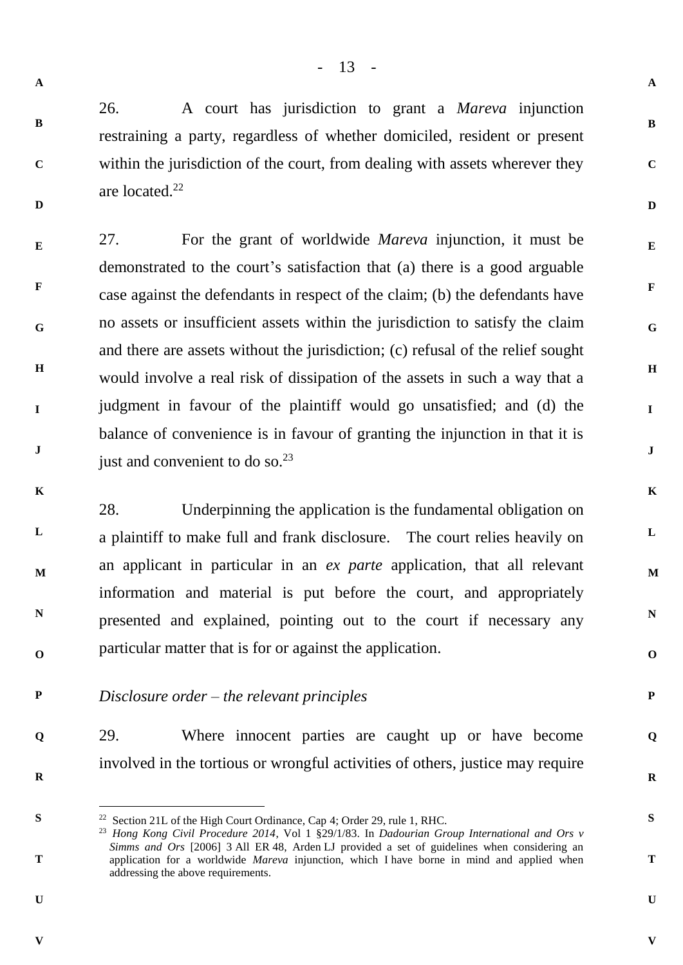- 13 -

**A**

**B**

**C**

**D**

**E**

**F**

**G**

**H**

**I**

**J**

**K**

**L**

**M**

**N**

**O**

**P**

**Q**

**R**

**S**

**T**

**U**

**V**

**A**

**B**

**C**

**D**

26. A court has jurisdiction to grant a *Mareva* injunction restraining a party, regardless of whether domiciled, resident or present within the jurisdiction of the court, from dealing with assets wherever they are located.<sup>22</sup>

**E F G H I J** 27. For the grant of worldwide *Mareva* injunction, it must be demonstrated to the court's satisfaction that (a) there is a good arguable case against the defendants in respect of the claim; (b) the defendants have no assets or insufficient assets within the jurisdiction to satisfy the claim and there are assets without the jurisdiction; (c) refusal of the relief sought would involve a real risk of dissipation of the assets in such a way that a judgment in favour of the plaintiff would go unsatisfied; and (d) the balance of convenience is in favour of granting the injunction in that it is just and convenient to do so. $^{23}$ 

**K**

**L**

**M**

**N**

**O**

28. Underpinning the application is the fundamental obligation on a plaintiff to make full and frank disclosure. The court relies heavily on an applicant in particular in an *ex parte* application, that all relevant information and material is put before the court, and appropriately presented and explained, pointing out to the court if necessary any particular matter that is for or against the application.

**P** *Disclosure order – the relevant principles*

29. Where innocent parties are caught up or have become involved in the tortious or wrongful activities of others, justice may require

**R**

**S**

 $\overline{a}$ 

**T**

**Q**

**U**

<sup>&</sup>lt;sup>22</sup> Section 21L of the High Court Ordinance, Cap 4; Order 29, rule 1, RHC.

<sup>23</sup> *Hong Kong Civil Procedure 2014*, Vol 1 §29/1/83. In *Dadourian Group International and Ors v Simms and Ors* [2006] 3 All ER 48, Arden LJ provided a set of guidelines when considering an application for a worldwide *Mareva* injunction, which I have borne in mind and applied when addressing the above requirements.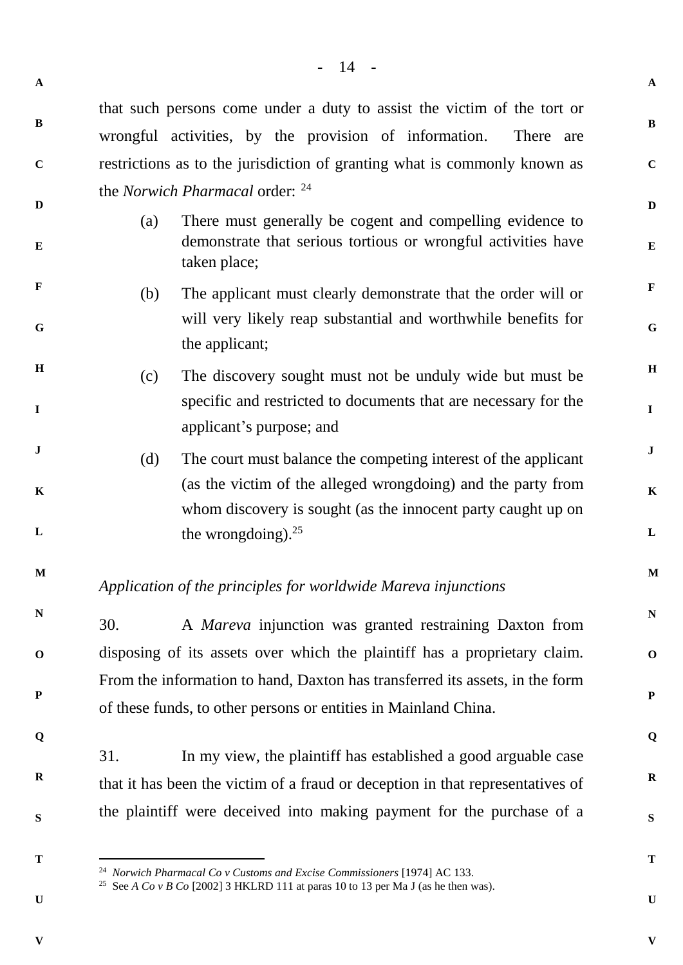|     | that such persons come under a duty to assist the victim of the tort or                                                                                                                                                    |  |
|-----|----------------------------------------------------------------------------------------------------------------------------------------------------------------------------------------------------------------------------|--|
|     | wrongful activities, by the provision of information.<br>There are                                                                                                                                                         |  |
|     | restrictions as to the jurisdiction of granting what is commonly known as                                                                                                                                                  |  |
|     | the <i>Norwich Pharmacal</i> order: <sup>24</sup>                                                                                                                                                                          |  |
| (a) | There must generally be cogent and compelling evidence to<br>demonstrate that serious tortious or wrongful activities have<br>taken place;                                                                                 |  |
| (b) | The applicant must clearly demonstrate that the order will or<br>will very likely reap substantial and worthwhile benefits for<br>the applicant;                                                                           |  |
| (c) | The discovery sought must not be unduly wide but must be<br>specific and restricted to documents that are necessary for the<br>applicant's purpose; and                                                                    |  |
| (d) | The court must balance the competing interest of the applicant<br>(as the victim of the alleged wrongdoing) and the party from<br>whom discovery is sought (as the innocent party caught up on<br>the wrongdoing). $^{25}$ |  |
|     | Application of the principles for worldwide Mareva injunctions                                                                                                                                                             |  |
| 30. | A <i>Mareva</i> injunction was granted restraining Daxton from                                                                                                                                                             |  |
|     | disposing of its assets over which the plaintiff has a proprietary claim.                                                                                                                                                  |  |
|     | From the information to hand, Daxton has transferred its assets, in the form                                                                                                                                               |  |
|     | of these funds, to other persons or entities in Mainland China.                                                                                                                                                            |  |
| 31. | In my view, the plaintiff has established a good arguable case                                                                                                                                                             |  |
|     | that it has been the victim of a fraud or deception in that representatives of                                                                                                                                             |  |

**S**

**A**

**B**

**C**

**D**

**E**

**F**

**G**

**H**

**I**

**J**

**K**

**L**

**M**

**N**

**O**

**P**

**Q**

**R**

**T**

l

the plaintiff were deceived into making payment for the purchase of a

**U**

**V**

**A**

**B**

**C**

**D**

**E**

**F**

**G**

**H**

**I**

**J**

**K**

**L**

**M**

**N**

**O**

**P**

**Q**

**R**

**S**

**T**

<sup>24</sup> *Norwich Pharmacal Co v Customs and Excise Commissioners* [1974] AC 133.

<sup>&</sup>lt;sup>25</sup> See *A Co v B Co* [2002] 3 HKLRD 111 at paras 10 to 13 per Ma J (as he then was).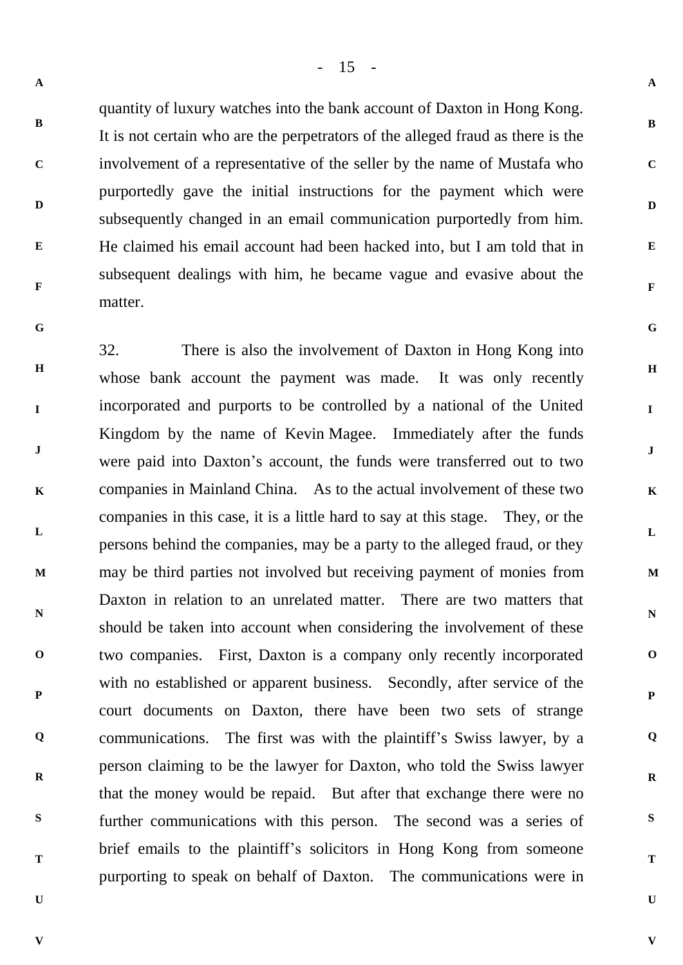- 15 -

**A**

**B**

**C**

**D**

**E**

**F**

**G**

**H**

**I**

**J**

**K**

**L**

**M**

**N**

**O**

**P**

**Q**

**R**

**S**

**T**

**U**

**V**

**A**

**B**

**C**

**D**

**E**

**F**

**G**

quantity of luxury watches into the bank account of Daxton in Hong Kong. It is not certain who are the perpetrators of the alleged fraud as there is the involvement of a representative of the seller by the name of Mustafa who purportedly gave the initial instructions for the payment which were subsequently changed in an email communication purportedly from him. He claimed his email account had been hacked into, but I am told that in subsequent dealings with him, he became vague and evasive about the matter.

**H I J K L M N O P Q R S T** 32. There is also the involvement of Daxton in Hong Kong into whose bank account the payment was made. It was only recently incorporated and purports to be controlled by a national of the United Kingdom by the name of Kevin Magee. Immediately after the funds were paid into Daxton's account, the funds were transferred out to two companies in Mainland China. As to the actual involvement of these two companies in this case, it is a little hard to say at this stage. They, or the persons behind the companies, may be a party to the alleged fraud, or they may be third parties not involved but receiving payment of monies from Daxton in relation to an unrelated matter. There are two matters that should be taken into account when considering the involvement of these two companies. First, Daxton is a company only recently incorporated with no established or apparent business. Secondly, after service of the court documents on Daxton, there have been two sets of strange communications. The first was with the plaintiff's Swiss lawyer, by a person claiming to be the lawyer for Daxton, who told the Swiss lawyer that the money would be repaid. But after that exchange there were no further communications with this person. The second was a series of brief emails to the plaintiff's solicitors in Hong Kong from someone purporting to speak on behalf of Daxton. The communications were in

**V**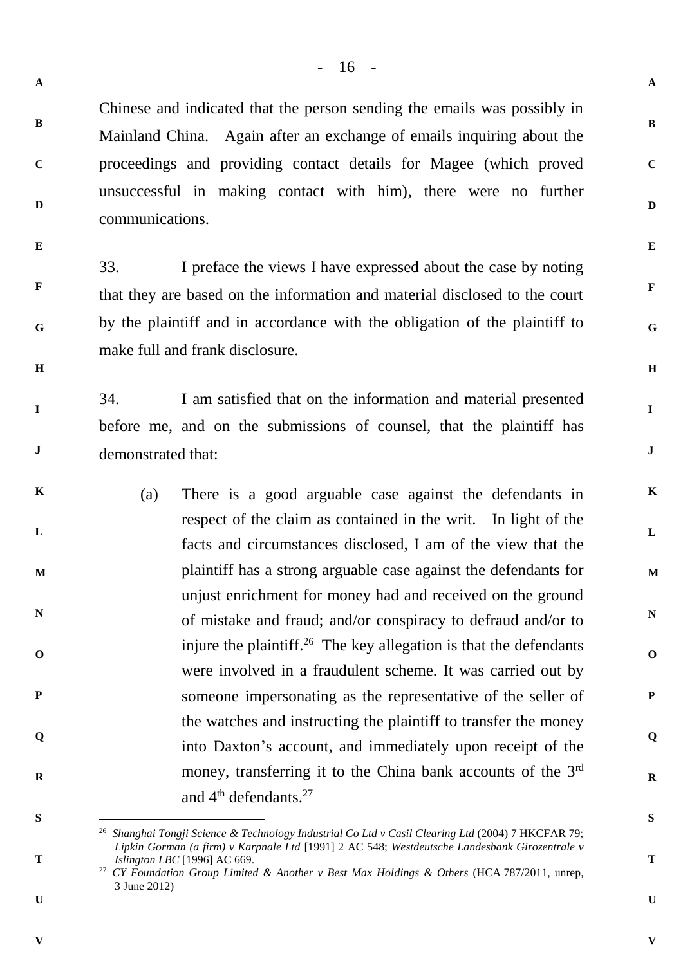**B**

**C**

**D**

**E**

**F**

**G**

**H**

**I**

**J**

**K**

**L**

**M**

**N**

**O**

**P**

**Q**

**R**

**S**

**T**

**U**

**V**

Chinese and indicated that the person sending the emails was possibly in Mainland China. Again after an exchange of emails inquiring about the proceedings and providing contact details for Magee (which proved unsuccessful in making contact with him), there were no further communications.

**E**

**F**

**G**

**H**

**I**

**J**

**A**

**B**

**C**

**D**

33. I preface the views I have expressed about the case by noting that they are based on the information and material disclosed to the court by the plaintiff and in accordance with the obligation of the plaintiff to make full and frank disclosure.

34. I am satisfied that on the information and material presented before me, and on the submissions of counsel, that the plaintiff has demonstrated that:

- **K L M N O P Q R** (a) There is a good arguable case against the defendants in respect of the claim as contained in the writ. In light of the facts and circumstances disclosed, I am of the view that the plaintiff has a strong arguable case against the defendants for unjust enrichment for money had and received on the ground of mistake and fraud; and/or conspiracy to defraud and/or to injure the plaintiff.<sup>26</sup> The key allegation is that the defendants were involved in a fraudulent scheme. It was carried out by someone impersonating as the representative of the seller of the watches and instructing the plaintiff to transfer the money into Daxton's account, and immediately upon receipt of the money, transferring it to the China bank accounts of the 3rd and 4<sup>th</sup> defendants.<sup>27</sup>
- **S**

l

**T**

**V**

<sup>26</sup> *Shanghai Tongji Science & Technology Industrial Co Ltd v Casil Clearing Ltd* (2004) 7 HKCFAR 79; *Lipkin Gorman (a firm) v Karpnale Ltd* [1991] 2 AC 548; *Westdeutsche Landesbank Girozentrale v Islington LBC* [1996] AC 669.

<sup>27</sup> *CY Foundation Group Limited & Another v Best Max Holdings & Others* (HCA 787/2011, unrep, 3 June 2012)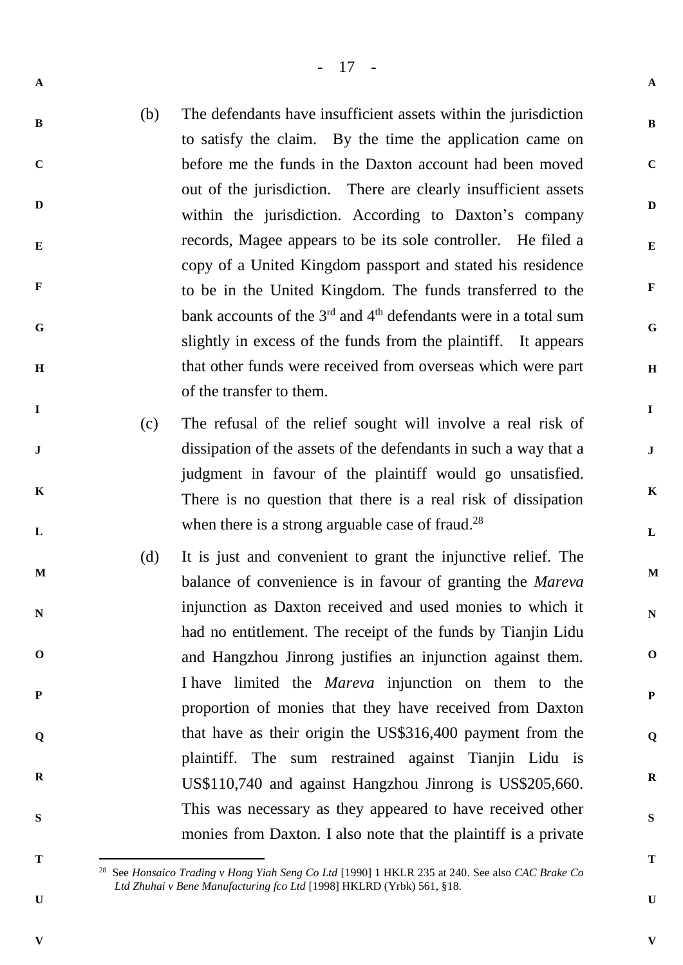- 17 -

- **A**
- 
- **B**
- **C**

**D**

**E**

**F**

**G**

**H**

**I**

**J**

**K**

**L**

**M**

**N**

**O**

**P**

**Q**

**R**

(b) The defendants have insufficient assets within the jurisdiction to satisfy the claim. By the time the application came on before me the funds in the Daxton account had been moved out of the jurisdiction. There are clearly insufficient assets within the jurisdiction. According to Daxton's company records, Magee appears to be its sole controller. He filed a copy of a United Kingdom passport and stated his residence to be in the United Kingdom. The funds transferred to the bank accounts of the  $3<sup>rd</sup>$  and  $4<sup>th</sup>$  defendants were in a total sum slightly in excess of the funds from the plaintiff. It appears that other funds were received from overseas which were part of the transfer to them.

- (c) The refusal of the relief sought will involve a real risk of dissipation of the assets of the defendants in such a way that a judgment in favour of the plaintiff would go unsatisfied. There is no question that there is a real risk of dissipation when there is a strong arguable case of fraud. $28$
- (d) It is just and convenient to grant the injunctive relief. The balance of convenience is in favour of granting the *Mareva* injunction as Daxton received and used monies to which it had no entitlement. The receipt of the funds by Tianjin Lidu and Hangzhou Jinrong justifies an injunction against them. I have limited the *Mareva* injunction on them to the proportion of monies that they have received from Daxton that have as their origin the US\$316,400 payment from the plaintiff. The sum restrained against Tianjin Lidu is US\$110,740 and against Hangzhou Jinrong is US\$205,660. This was necessary as they appeared to have received other monies from Daxton. I also note that the plaintiff is a private
- **T**

**S**

**V**

**U**

**V**

**A**

**B**

**C**

**D**

**E**

**F**

**G**

**H**

**I**

**J**

**K**

**L**

**M**

**N**

**O**

**P**

**Q**

**R**

**S**

**T**

l <sup>28</sup> See *Honsaico Trading v Hong Yiah Seng Co Ltd* [1990] 1 HKLR 235 at 240. See also *CAC Brake Co Ltd Zhuhai v Bene Manufacturing fco Ltd* [1998] HKLRD (Yrbk) 561, §18.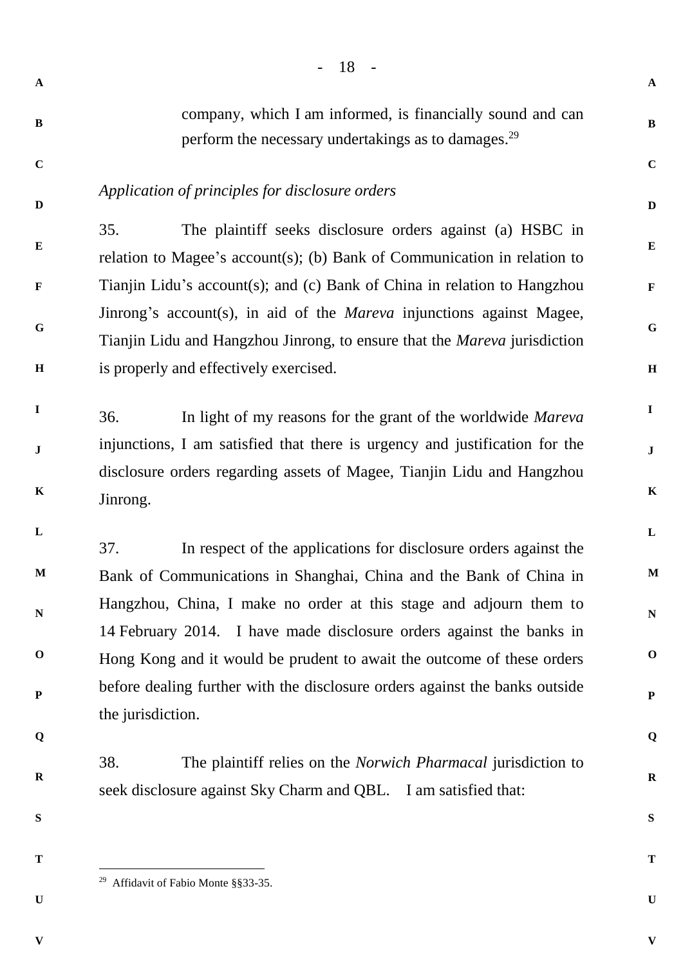- 18 - **A B C D E F G H I J K L M N O P Q R S A B C D E F G H I J K L M N O P Q R S T** company, which I am informed, is financially sound and can perform the necessary undertakings as to damages.<sup>29</sup> *Application of principles for disclosure orders* 35. The plaintiff seeks disclosure orders against (a) HSBC in relation to Magee's account(s); (b) Bank of Communication in relation to Tianjin Lidu's account(s); and (c) Bank of China in relation to Hangzhou Jinrong's account(s), in aid of the *Mareva* injunctions against Magee, Tianjin Lidu and Hangzhou Jinrong, to ensure that the *Mareva* jurisdiction is properly and effectively exercised. 36. In light of my reasons for the grant of the worldwide *Mareva*  injunctions, I am satisfied that there is urgency and justification for the disclosure orders regarding assets of Magee, Tianjin Lidu and Hangzhou Jinrong. 37. In respect of the applications for disclosure orders against the Bank of Communications in Shanghai, China and the Bank of China in Hangzhou, China, I make no order at this stage and adjourn them to 14 February 2014. I have made disclosure orders against the banks in Hong Kong and it would be prudent to await the outcome of these orders before dealing further with the disclosure orders against the banks outside the jurisdiction. 38. The plaintiff relies on the *Norwich Pharmacal* jurisdiction to seek disclosure against Sky Charm and QBL. I am satisfied that:

**T**

 $\overline{a}$ 

**U**

**V**

<sup>29</sup> Affidavit of Fabio Monte §§33-35.

**V**